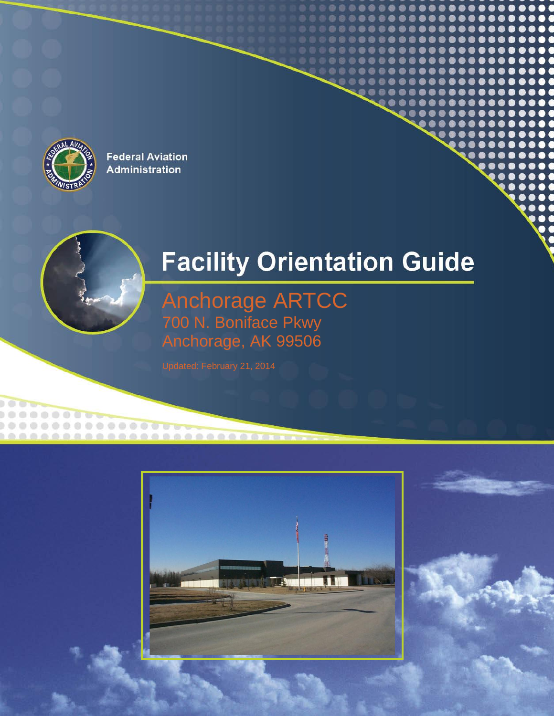

 $\blacksquare$ 

.............

# **Facility Orientation Guide**

Anchorage ARTCC 700 N. Boniface Pkwy Anchorage, AK 99506



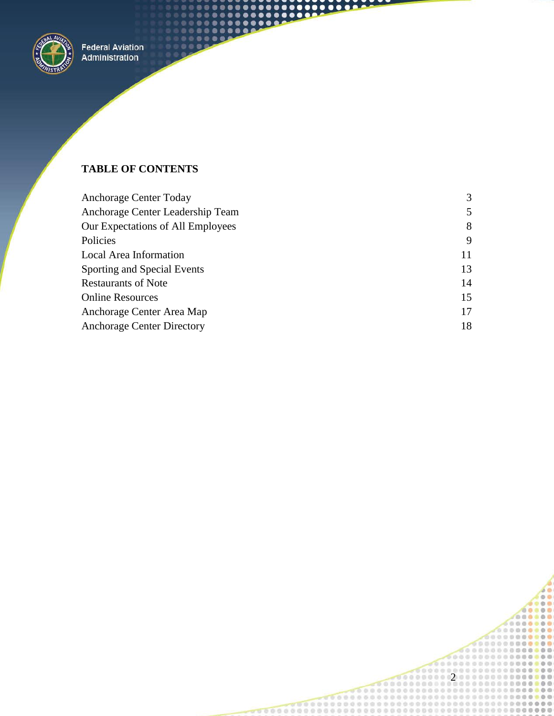

## **TABLE OF CONTENTS**

| Anchorage Center Today            | 3  |
|-----------------------------------|----|
| Anchorage Center Leadership Team  | 5  |
| Our Expectations of All Employees | 8  |
| Policies                          | 9  |
| Local Area Information            | 11 |
| Sporting and Special Events       | 13 |
| <b>Restaurants of Note</b>        | 14 |
| <b>Online Resources</b>           | 15 |
| Anchorage Center Area Map         | 17 |
| <b>Anchorage Center Directory</b> | 18 |

 $\bullet$ ٠  $\bullet$  $\bullet$  $\bullet$  $\bullet$  $\bullet$ 

 $\blacksquare$  $0 0 0$ 

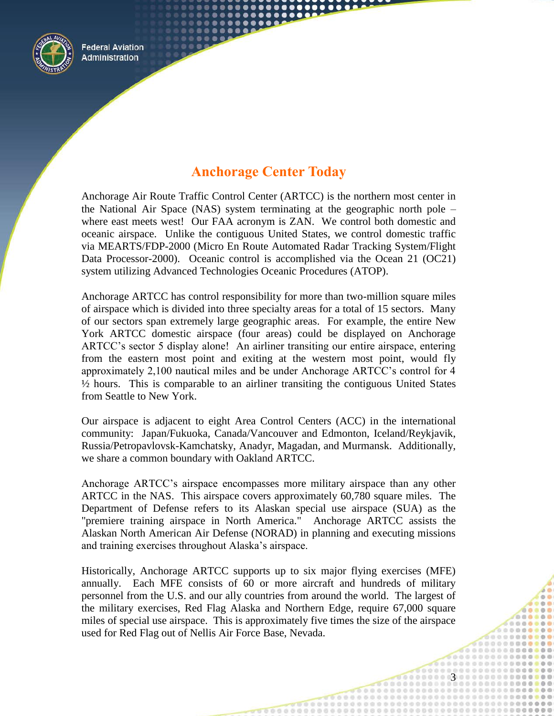

# **Anchorage Center Today**

<span id="page-2-0"></span>Anchorage Air Route Traffic Control Center (ARTCC) is the northern most center in the National Air Space (NAS) system terminating at the geographic north pole – where east meets west! Our FAA acronym is ZAN. We control both domestic and oceanic airspace. Unlike the contiguous United States, we control domestic traffic via MEARTS/FDP-2000 (Micro En Route Automated Radar Tracking System/Flight Data Processor-2000). Oceanic control is accomplished via the Ocean 21 (OC21) system utilizing Advanced Technologies Oceanic Procedures (ATOP).

Anchorage ARTCC has control responsibility for more than two-million square miles of airspace which is divided into three specialty areas for a total of 15 sectors. Many of our sectors span extremely large geographic areas. For example, the entire New York ARTCC domestic airspace (four areas) could be displayed on Anchorage ARTCC's sector 5 display alone! An airliner transiting our entire airspace, entering from the eastern most point and exiting at the western most point, would fly approximately 2,100 nautical miles and be under Anchorage ARTCC's control for 4 ½ hours. This is comparable to an airliner transiting the contiguous United States from Seattle to New York.

Our airspace is adjacent to eight Area Control Centers (ACC) in the international community: Japan/Fukuoka, Canada/Vancouver and Edmonton, Iceland/Reykjavik, Russia/Petropavlovsk-Kamchatsky, Anadyr, Magadan, and Murmansk. Additionally, we share a common boundary with Oakland ARTCC.

Anchorage ARTCC's airspace encompasses more military airspace than any other ARTCC in the NAS. This airspace covers approximately 60,780 square miles. The Department of Defense refers to its Alaskan special use airspace (SUA) as the "premiere training airspace in North America." Anchorage ARTCC assists the Alaskan North American Air Defense (NORAD) in planning and executing missions and training exercises throughout Alaska's airspace.

Historically, Anchorage ARTCC supports up to six major flying exercises (MFE) annually. Each MFE consists of 60 or more aircraft and hundreds of military personnel from the U.S. and our ally countries from around the world. The largest of the military exercises, Red Flag Alaska and Northern Edge, require 67,000 square miles of special use airspace. This is approximately five times the size of the airspace used for Red Flag out of Nellis Air Force Base, Nevada.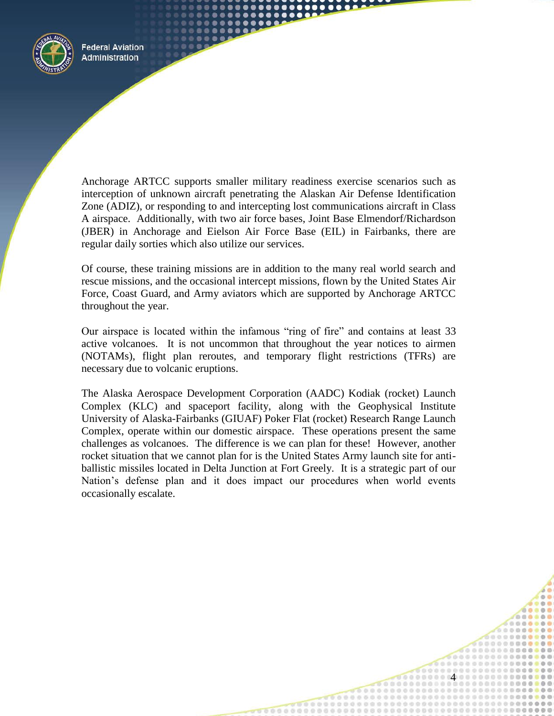

Anchorage ARTCC supports smaller military readiness exercise scenarios such as interception of unknown aircraft penetrating the Alaskan Air Defense Identification Zone (ADIZ), or responding to and intercepting lost communications aircraft in Class A airspace. Additionally, with two air force bases, Joint Base Elmendorf/Richardson (JBER) in Anchorage and Eielson Air Force Base (EIL) in Fairbanks, there are regular daily sorties which also utilize our services.

Of course, these training missions are in addition to the many real world search and rescue missions, and the occasional intercept missions, flown by the United States Air Force, Coast Guard, and Army aviators which are supported by Anchorage ARTCC throughout the year.

Our airspace is located within the infamous "ring of fire" and contains at least 33 active volcanoes. It is not uncommon that throughout the year notices to airmen (NOTAMs), flight plan reroutes, and temporary flight restrictions (TFRs) are necessary due to volcanic eruptions.

The Alaska Aerospace Development Corporation (AADC) Kodiak (rocket) Launch Complex (KLC) and spaceport facility, along with the Geophysical Institute University of Alaska-Fairbanks (GIUAF) Poker Flat (rocket) Research Range Launch Complex, operate within our domestic airspace. These operations present the same challenges as volcanoes. The difference is we can plan for these! However, another rocket situation that we cannot plan for is the United States Army launch site for antiballistic missiles located in Delta Junction at Fort Greely. It is a strategic part of our Nation's defense plan and it does impact our procedures when world events occasionally escalate.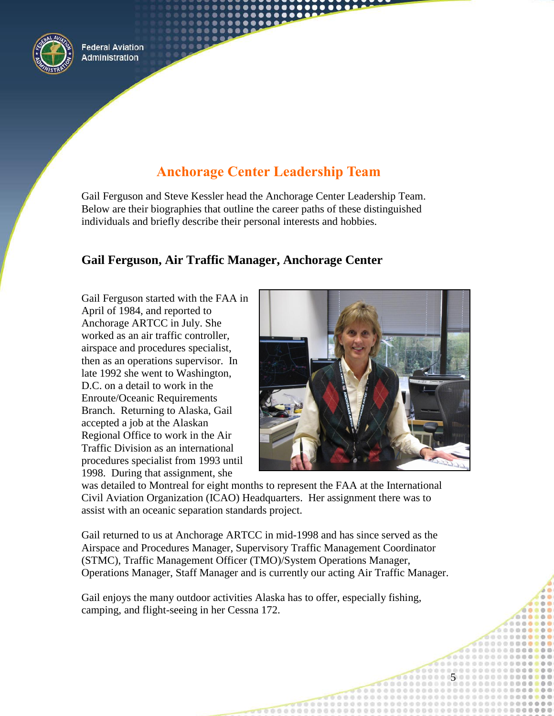

# **Anchorage Center Leadership Team**

<span id="page-4-0"></span>Gail Ferguson and Steve Kessler head the Anchorage Center Leadership Team. Below are their biographies that outline the career paths of these distinguished individuals and briefly describe their personal interests and hobbies.

## **Gail Ferguson, Air Traffic Manager, Anchorage Center**

Gail Ferguson started with the FAA in April of 1984, and reported to Anchorage ARTCC in July. She worked as an air traffic controller, airspace and procedures specialist, then as an operations supervisor. In late 1992 she went to Washington, D.C. on a detail to work in the Enroute/Oceanic Requirements Branch. Returning to Alaska, Gail accepted a job at the Alaskan Regional Office to work in the Air Traffic Division as an international procedures specialist from 1993 until 1998. During that assignment, she



5

was detailed to Montreal for eight months to represent the FAA at the International Civil Aviation Organization (ICAO) Headquarters. Her assignment there was to assist with an oceanic separation standards project.

Gail returned to us at Anchorage ARTCC in mid-1998 and has since served as the Airspace and Procedures Manager, Supervisory Traffic Management Coordinator (STMC), Traffic Management Officer (TMO)/System Operations Manager, Operations Manager, Staff Manager and is currently our acting Air Traffic Manager.

Gail enjoys the many outdoor activities Alaska has to offer, especially fishing, camping, and flight-seeing in her Cessna 172.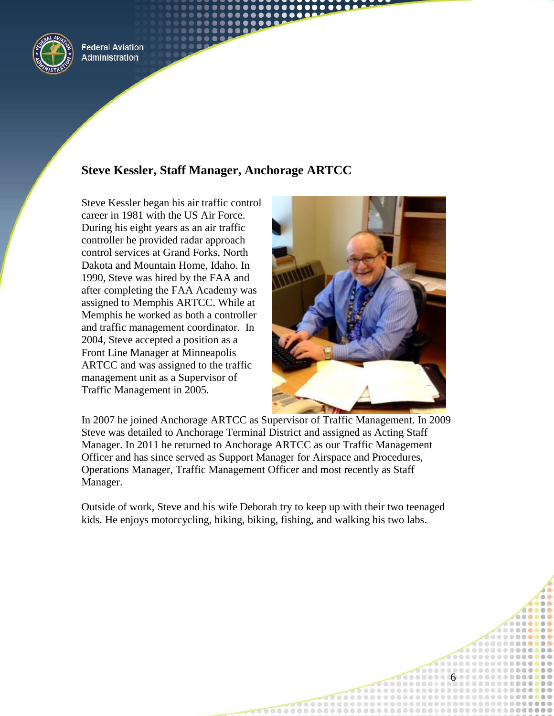

# **Steve Kessler, Staff Manager, Anchorage ARTCC**

Steve Kessler began his air traffic control career in 1981 with the US Air Force. During his eight years as an air traffic controller he provided radar approach control services at Grand Forks, North Dakota and Mountain Home, Idaho. In 1990, Steve was hired by the FAA and after completing the FAA Academy was assigned to Memphis ARTCC. While at Memphis he worked as both a controller and traffic management coordinator. In 2004, Steve accepted a position as a Front Line Manager at Minneapolis ARTCC and was assigned to the traffic management unit as a Supervisor of Traffic Management in 2005.



6

In 2007 he joined Anchorage ARTCC as Supervisor of Traffic Management. In 2009 Steve was detailed to Anchorage Terminal District and assigned as Acting Staff Manager. In 2011 he returned to Anchorage ARTCC as our Traffic Management Officer and has since served as Support Manager for Airspace and Procedures, Operations Manager, Traffic Management Officer and most recently as Staff Manager.

Outside of work, Steve and his wife Deborah try to keep up with their two teenaged kids. He enjoys motorcycling, hiking, biking, fishing, and walking his two labs.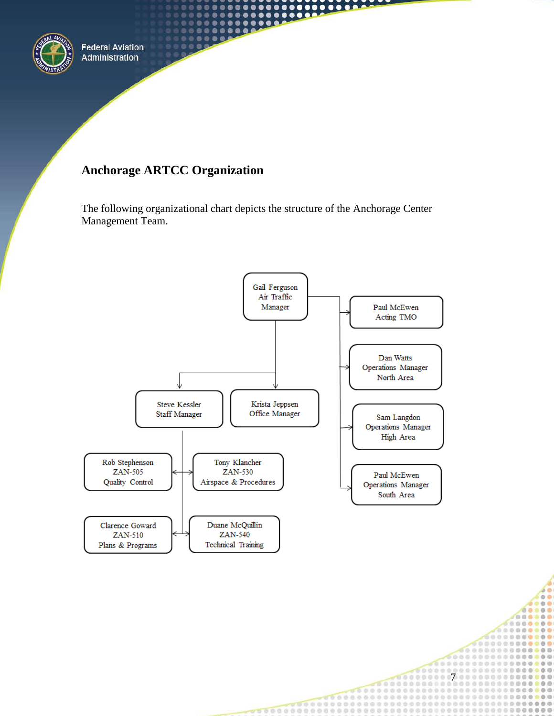

# **Anchorage ARTCC Organization**

The following organizational chart depicts the structure of the Anchorage Center Management Team.

.

٠ ٠

 $\bullet$ 

...

 $\bullet\bullet\bullet\bullet$ 



7

 $0.0.0$ 

.......

000000000

Ø. ö in. G.

 $0.0$ db db

.....

 $\sigma$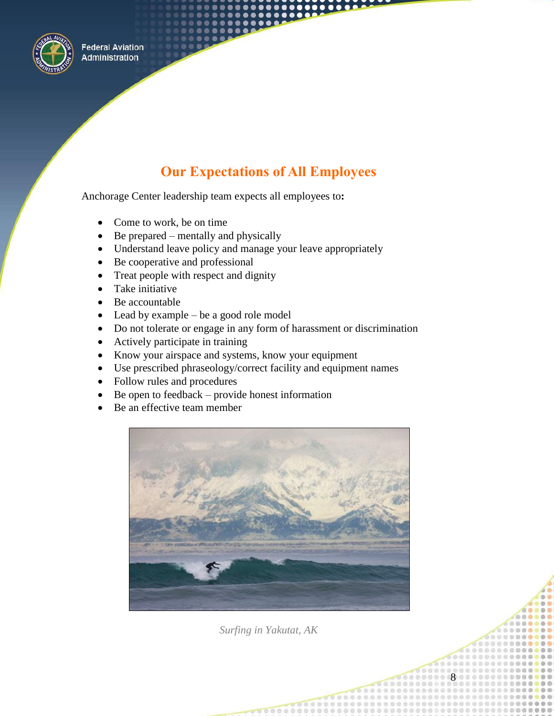

# **Our Expectations of All Employees**

<span id="page-7-0"></span>Anchorage Center leadership team expects all employees to**:**

- Come to work, be on time
- $\bullet$  Be prepared mentally and physically
- Understand leave policy and manage your leave appropriately
- Be cooperative and professional
- Treat people with respect and dignity
- Take initiative
- Be accountable
- Lead by example be a good role model
- Do not tolerate or engage in any form of harassment or discrimination
- Actively participate in training
- Know your airspace and systems, know your equipment
- Use prescribed phraseology/correct facility and equipment names
- Follow rules and procedures
- $\bullet$  Be open to feedback provide honest information
- Be an effective team member



*Surfing in Yakutat, AK*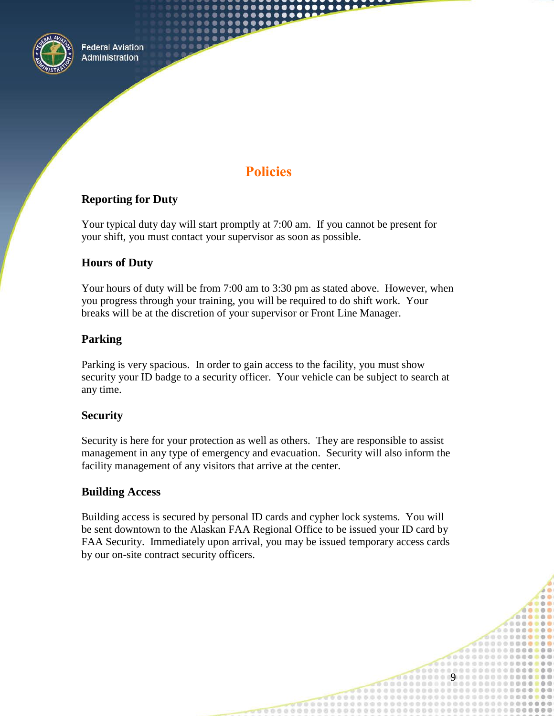

# **Policies**

#### <span id="page-8-0"></span>**Reporting for Duty**

Your typical duty day will start promptly at 7:00 am. If you cannot be present for your shift, you must contact your supervisor as soon as possible.

## **Hours of Duty**

Your hours of duty will be from 7:00 am to 3:30 pm as stated above. However, when you progress through your training, you will be required to do shift work. Your breaks will be at the discretion of your supervisor or Front Line Manager.

## **Parking**

Parking is very spacious. In order to gain access to the facility, you must show security your ID badge to a security officer. Your vehicle can be subject to search at any time.

#### **Security**

Security is here for your protection as well as others. They are responsible to assist management in any type of emergency and evacuation. Security will also inform the facility management of any visitors that arrive at the center.

#### **Building Access**

Building access is secured by personal ID cards and cypher lock systems. You will be sent downtown to the Alaskan FAA Regional Office to be issued your ID card by FAA Security. Immediately upon arrival, you may be issued temporary access cards by our on-site contract security officers.

 $\overline{Q}$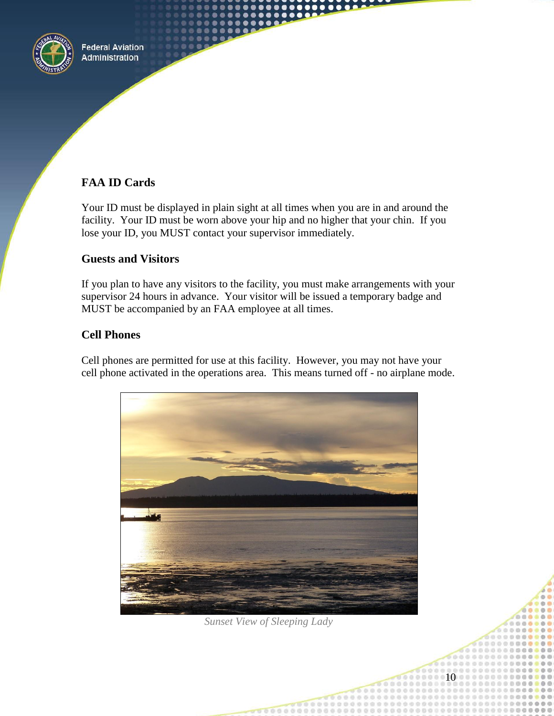

## **FAA ID Cards**

Your ID must be displayed in plain sight at all times when you are in and around the facility. Your ID must be worn above your hip and no higher that your chin. If you lose your ID, you MUST contact your supervisor immediately.

#### **Guests and Visitors**

If you plan to have any visitors to the facility, you must make arrangements with your supervisor 24 hours in advance. Your visitor will be issued a temporary badge and MUST be accompanied by an FAA employee at all times.

#### **Cell Phones**

Cell phones are permitted for use at this facility. However, you may not have your cell phone activated in the operations area. This means turned off - no airplane mode.



*Sunset View of Sleeping Lady*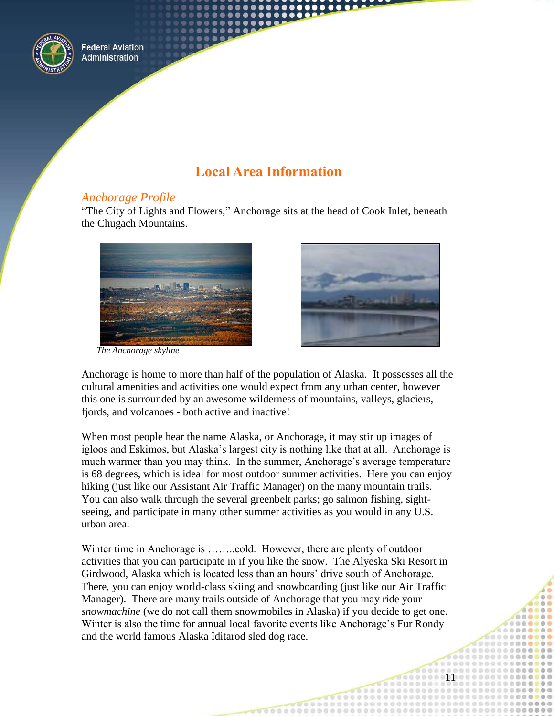

# **Local Area Information**

#### <span id="page-10-0"></span>*Anchorage Profile*

"The City of Lights and Flowers," Anchorage sits at the head of Cook Inlet, beneath the Chugach Mountains.



*The Anchorage skyline* 



Anchorage is home to more than half of the population of Alaska. It possesses all the cultural amenities and activities one would expect from any urban center, however this one is surrounded by an awesome wilderness of mountains, valleys, glaciers, fjords, and volcanoes - both active and inactive!

When most people hear the name Alaska, or Anchorage, it may stir up images of igloos and Eskimos, but Alaska's largest city is nothing like that at all. Anchorage is much warmer than you may think. In the summer, Anchorage's average temperature is 68 degrees, which is ideal for most outdoor summer activities. Here you can enjoy hiking (just like our Assistant Air Traffic Manager) on the many mountain trails. You can also walk through the several greenbelt parks; go salmon fishing, sightseeing, and participate in many other summer activities as you would in any U.S. urban area.

Winter time in Anchorage is ……..cold. However, there are plenty of outdoor activities that you can participate in if you like the snow. The Alyeska Ski Resort in Girdwood, Alaska which is located less than an hours' drive south of Anchorage. There, you can enjoy world-class skiing and snowboarding (just like our Air Traffic Manager). There are many trails outside of Anchorage that you may ride your *snowmachine* (we do not call them snowmobiles in Alaska) if you decide to get one. Winter is also the time for annual local favorite events like Anchorage's Fur Rondy and the world famous Alaska Iditarod sled dog race.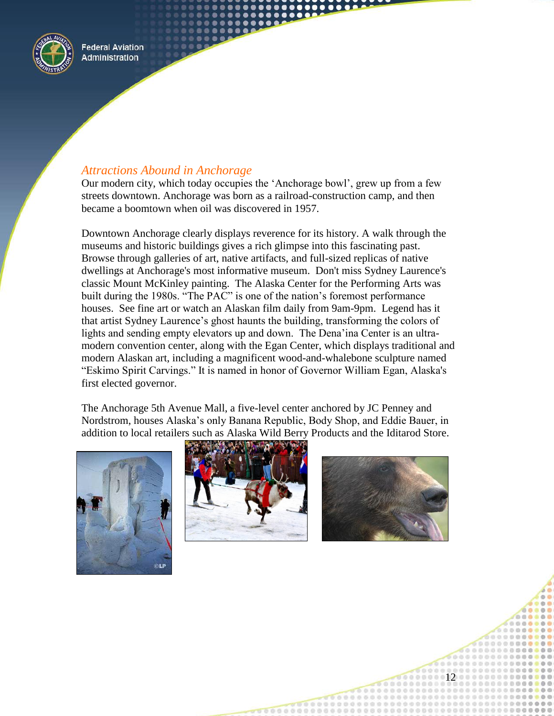

## *Attractions Abound in Anchorage*

Our modern city, which today occupies the 'Anchorage bowl', grew up from a few streets downtown. Anchorage was born as a railroad-construction camp, and then became a boomtown when oil was discovered in 1957.

Downtown Anchorage clearly displays reverence for its history. A walk through the museums and historic buildings gives a rich glimpse into this fascinating past. Browse through galleries of art, native artifacts, and full-sized replicas of native dwellings at Anchorage's most informative museum. Don't miss Sydney Laurence's classic Mount McKinley painting. The Alaska Center for the Performing Arts was built during the 1980s. "The PAC" is one of the nation's foremost performance houses. See fine art or watch an Alaskan film daily from 9am-9pm. Legend has it that artist Sydney Laurence's ghost haunts the building, transforming the colors of lights and sending empty elevators up and down. The Dena'ina Center is an ultramodern convention center, along with the Egan Center, which displays traditional and modern Alaskan art, including a magnificent wood-and-whalebone sculpture named "Eskimo Spirit Carvings." It is named in honor of Governor William Egan, Alaska's first elected governor.

The Anchorage 5th Avenue Mall, a five-level center anchored by JC Penney and Nordstrom, houses Alaska's only Banana Republic, Body Shop, and Eddie Bauer, in addition to local retailers such as Alaska Wild Berry Products and the Iditarod Store.





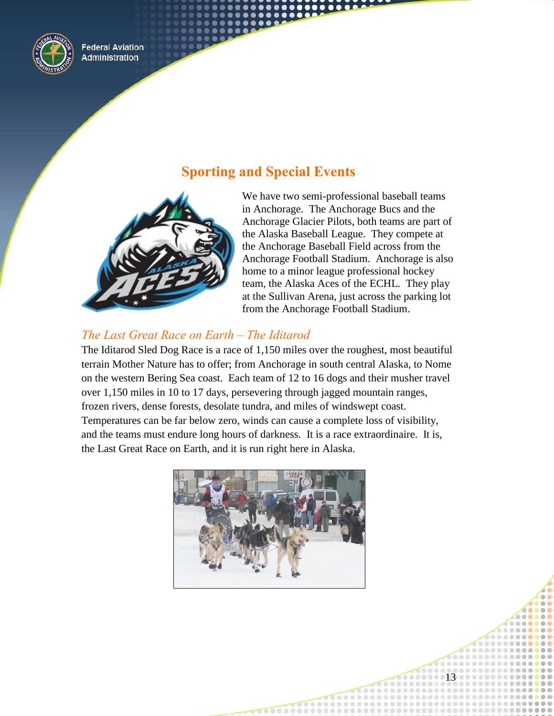

# **Sporting and Special Events**

<span id="page-12-0"></span>

We have two semi-professional baseball teams in Anchorage. The Anchorage Bucs and the Anchorage Glacier Pilots, both teams are part of the Alaska Baseball League. They compete at the Anchorage Baseball Field across from the Anchorage Football Stadium. Anchorage is also home to a minor league professional hockey team, the Alaska Aces of the ECHL. They play at the Sullivan Arena, just across the parking lot from the Anchorage Football Stadium.

13

## *The Last Great Race on Earth – The Iditarod*

The Iditarod Sled Dog Race is a race of 1,150 miles over the roughest, most beautiful terrain Mother Nature has to offer; from Anchorage in south central Alaska, to Nome on the western Bering Sea coast. Each team of 12 to 16 dogs and their musher travel over 1,150 miles in 10 to 17 days, persevering through jagged mountain ranges, frozen rivers, dense forests, desolate tundra, and miles of windswept coast. Temperatures can be far below zero, winds can cause a complete loss of visibility, and the teams must endure long hours of darkness. It is a race extraordinaire. It is, the Last Great Race on Earth, and it is run right here in Alaska.

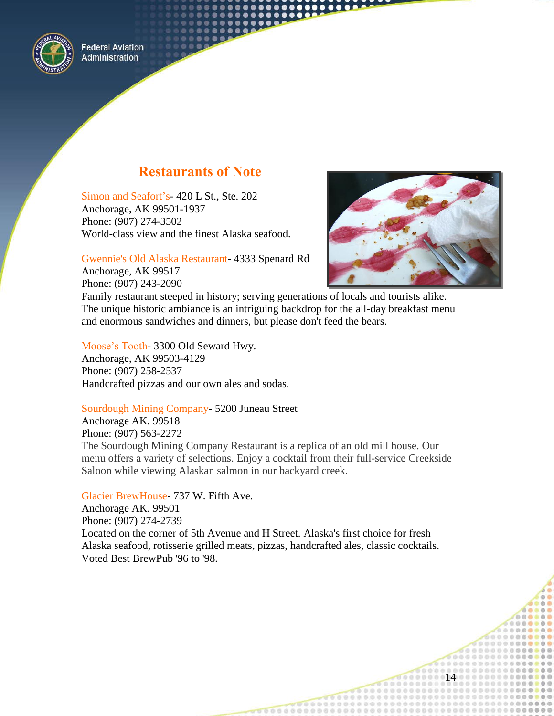

# **Restaurants of Note**

<span id="page-13-0"></span>Simon and Seafort's*-* 420 L St., Ste. 202 Anchorage, AK 99501-1937 Phone: (907) 274-3502 World-class view and the finest Alaska seafood.

14

Gwennie's Old Alaska Restaurant- 4333 Spenard Rd Anchorage, AK 99517 Phone: (907) 243-2090

Family restaurant steeped in history; serving generations of locals and tourists alike. The unique historic ambiance is an intriguing backdrop for the all-day breakfast menu and enormous sandwiches and dinners, but please don't feed the bears.

Moose's Tooth*-* 3300 Old Seward Hwy. Anchorage, AK 99503-4129 Phone: (907) 258-2537 Handcrafted pizzas and our own ales and sodas.

#### Sourdough Mining Company- 5200 Juneau Street

Anchorage AK. 99518 Phone: (907) 563-2272 The Sourdough Mining Company Restaurant is a replica of an old mill house. Our menu offers a variety of selections. Enjoy a cocktail from their full-service Creekside Saloon while viewing Alaskan salmon in our backyard creek.

Glacier BrewHouse- 737 W. Fifth Ave. Anchorage AK. 99501 Phone: (907) 274-2739 Located on the corner of 5th Avenue and H Street. Alaska's first choice for fresh Alaska seafood, rotisserie grilled meats, pizzas, handcrafted ales, classic cocktails. Voted Best BrewPub '96 to '98.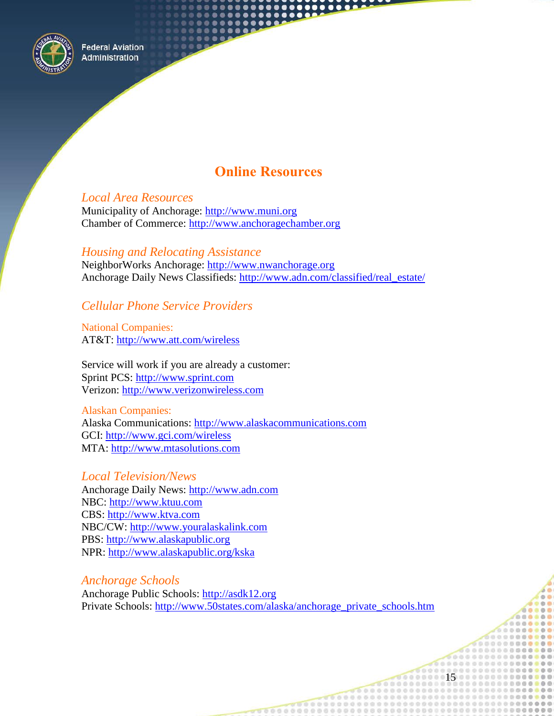

# **Online Resources**

<span id="page-14-0"></span>*Local Area Resources* Municipality of Anchorage: [http://www.muni.org](http://www.muni.org/) Chamber of Commerce: [http://www.anchoragechamber.org](http://www.anchoragechamber.org/)

*Housing and Relocating Assistance*  NeighborWorks Anchorage: [http://www.nwanchorage.org](http://www.nwanchorage.org/) Anchorage Daily News Classifieds: http://www.adn.com/classified/real\_estate/

## *Cellular Phone Service Providers*

National Companies: AT&T:<http://www.att.com/wireless>

Service will work if you are already a customer: Sprint PCS: [http://www.sprint.com](http://www.sprint.com/) Verizon: [http://www.verizonwireless.com](http://www.verizonwireless.com/)

Alaskan Companies: Alaska Communications: [http://www.alaskacommunications.com](http://www.alaskacommunications.com/) GCI:<http://www.gci.com/wireless> MTA: http://www.mtasolutions.com

*Local Television/News* Anchorage Daily News: [http://www.adn.com](http://www.adn.com/) NBC: [http://www.ktuu.com](http://www.ktuu.com/) CBS: [http://www.ktva.com](http://www.ktva.com/) NBC/CW: [http://www.youralaskalink.com](http://www.youralaskalink.com/) PBS: [http://www.alaskapublic.org](http://www.alaskapublic.org/) NPR:<http://www.alaskapublic.org/kska>

*Anchorage Schools* Anchorage Public Schools: [http://asdk12.org](http://asdk12.org/) Private Schools: [http://www.50states.com/alaska/anchorage\\_private\\_schools.htm](http://www.50states.com/alaska/anchorage_private_schools.htm)

66888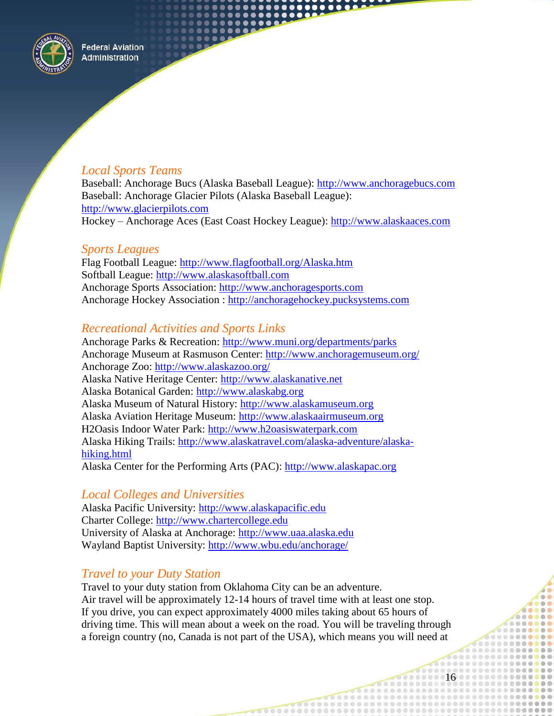

## *Local Sports Teams*

Baseball: Anchorage Bucs (Alaska Baseball League): [http://www.anchoragebucs.com](http://www.anchoragebucs.com/) Baseball: Anchorage Glacier Pilots (Alaska Baseball League): [http://www.glacierpilots.com](http://www.glacierpilots.com/) Hockey – Anchorage Aces (East Coast Hockey League): [http://www.alaskaaces.com](http://www.alaskaaces.com/)

## *Sports Leagues*

Flag Football League: <http://www.flagfootball.org/Alaska.htm> Softball League: [http://www.alaskasoftball.com](http://www.alaskasoftball.com/) Anchorage Sports Association: [http://www.anchoragesports.com](http://www.anchoragesports.com/) Anchorage Hockey Association : [http://anchoragehockey.pucksystems.com](http://anchoragehockey.pucksystems.com/)

#### *Recreational Activities and Sports Links*

Anchorage Parks & Recreation:<http://www.muni.org/departments/parks> Anchorage Museum at Rasmuson Center: http://www.anchoragemuseum.org/ Anchorage Zoo:<http://www.alaskazoo.org/> Alaska Native Heritage Center: http://www.alaskanative.net Alaska Botanical Garden: http://www.alaskabg.org Alaska Museum of Natural History: http://www.alaskamuseum.org Alaska Aviation Heritage Museum: http://www.alaskaairmuseum.org H2Oasis Indoor Water Park: http://www.h2oasiswaterpark.com Alaska Hiking Trails: http://www.alaskatravel.com/alaska-adventure/alaskahiking.html Alaska Center for the Performing Arts (PAC): http://www.alaskapac.org

## *Local Colleges and Universities*

Alaska Pacific University: http://www.alaskapacific.edu Charter College: http://www.chartercollege.edu University of Alaska at Anchorage: http://www.uaa.alaska.edu Wayland Baptist University: http://www.wbu.edu/anchorage/

## *Travel to your Duty Station*

Travel to your duty station from Oklahoma City can be an adventure. Air travel will be approximately 12-14 hours of travel time with at least one stop. If you drive, you can expect approximately 4000 miles taking about 65 hours of driving time. This will mean about a week on the road. You will be traveling through a foreign country (no, Canada is not part of the USA), which means you will need at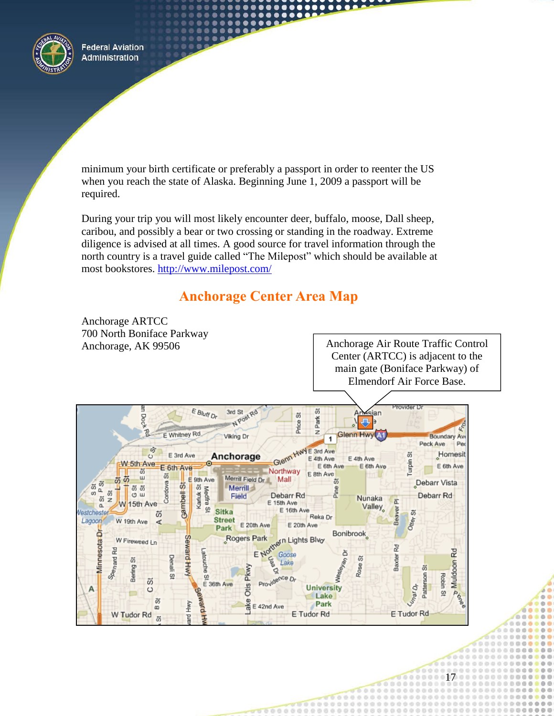

minimum your birth certificate or preferably a passport in order to reenter the US when you reach the state of Alaska. Beginning June 1, 2009 a passport will be required.

....

During your trip you will most likely encounter deer, buffalo, moose, Dall sheep, caribou, and possibly a bear or two crossing or standing in the roadway. Extreme diligence is advised at all times. A good source for travel information through the north country is a travel guide called "The Milepost" which should be available at most bookstores. http://www.milepost.com/

# **Anchorage Center Area Map**

<span id="page-16-0"></span>

45 45 45 45 45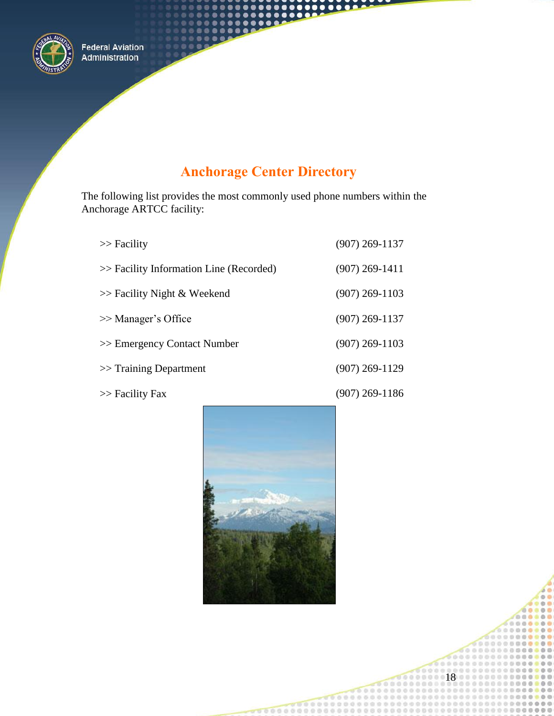

# **Anchorage Center Directory**

<span id="page-17-0"></span>The following list provides the most commonly used phone numbers within the Anchorage ARTCC facility:

| $\gg$ Facility                          | $(907)$ 269-1137 |
|-----------------------------------------|------------------|
| >> Facility Information Line (Recorded) | $(907)$ 269-1411 |
| $\gg$ Facility Night & Weekend          | $(907)$ 269-1103 |
| >> Manager's Office                     | $(907)$ 269-1137 |
| >> Emergency Contact Number             | $(907)$ 269-1103 |
| $\gg$ Training Department               | $(907)$ 269-1129 |

>> Facility Fax

(907) 269-1186